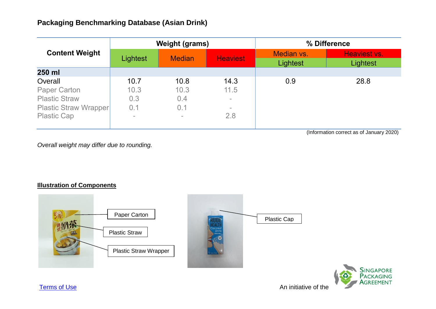| <b>Content Weight</b>        | <b>Weight (grams)</b> |               |                 | % Difference           |                          |
|------------------------------|-----------------------|---------------|-----------------|------------------------|--------------------------|
|                              | Lightest              | <b>Median</b> | <b>Heaviest</b> | Median vs.<br>Lightest | Heaviest vs.<br>Lightest |
| 250 ml                       |                       |               |                 |                        |                          |
| Overall                      | 10.7                  | 10.8          | 14.3            | 0.9                    | 28.8                     |
| <b>Paper Carton</b>          | 10.3                  | 10.3          | 11.5            |                        |                          |
| <b>Plastic Straw</b>         | 0.3                   | 0.4           | $\sim$          |                        |                          |
| <b>Plastic Straw Wrapper</b> | 0.1                   | 0.1           | $\equiv$        |                        |                          |
| <b>Plastic Cap</b>           | $\equiv$              | $\equiv$      | 2.8             |                        |                          |
|                              |                       |               |                 |                        |                          |

(Information correct as of January 2020)

*Overall weight may differ due to rounding.*

## **Illustration of Components**



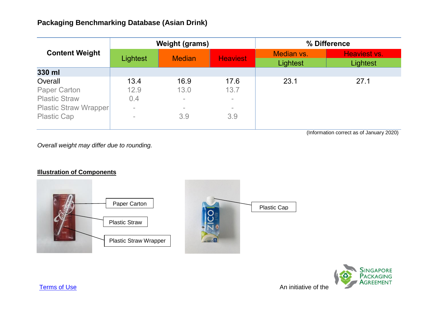| <b>Content Weight</b>        | <b>Weight (grams)</b> |               |                 | % Difference           |                          |
|------------------------------|-----------------------|---------------|-----------------|------------------------|--------------------------|
|                              | Lightest              | <b>Median</b> | <b>Heaviest</b> | Median vs.<br>Lightest | Heaviest vs.<br>Lightest |
| 330 ml                       |                       |               |                 |                        |                          |
| Overall                      | 13.4                  | 16.9          | 17.6            | 23.1                   | 27.1                     |
| <b>Paper Carton</b>          | 12.9                  | 13.0          | 13.7            |                        |                          |
| <b>Plastic Straw</b>         | 0.4                   | $\sim$        | $\equiv$        |                        |                          |
| <b>Plastic Straw Wrapper</b> | $\equiv$              | $\sim$        | $\equiv$        |                        |                          |
| <b>Plastic Cap</b>           |                       | 3.9           | 3.9             |                        |                          |
|                              |                       |               |                 |                        |                          |

(Information correct as of January 2020)

*Overall weight may differ due to rounding.*

## **Illustration of Components**